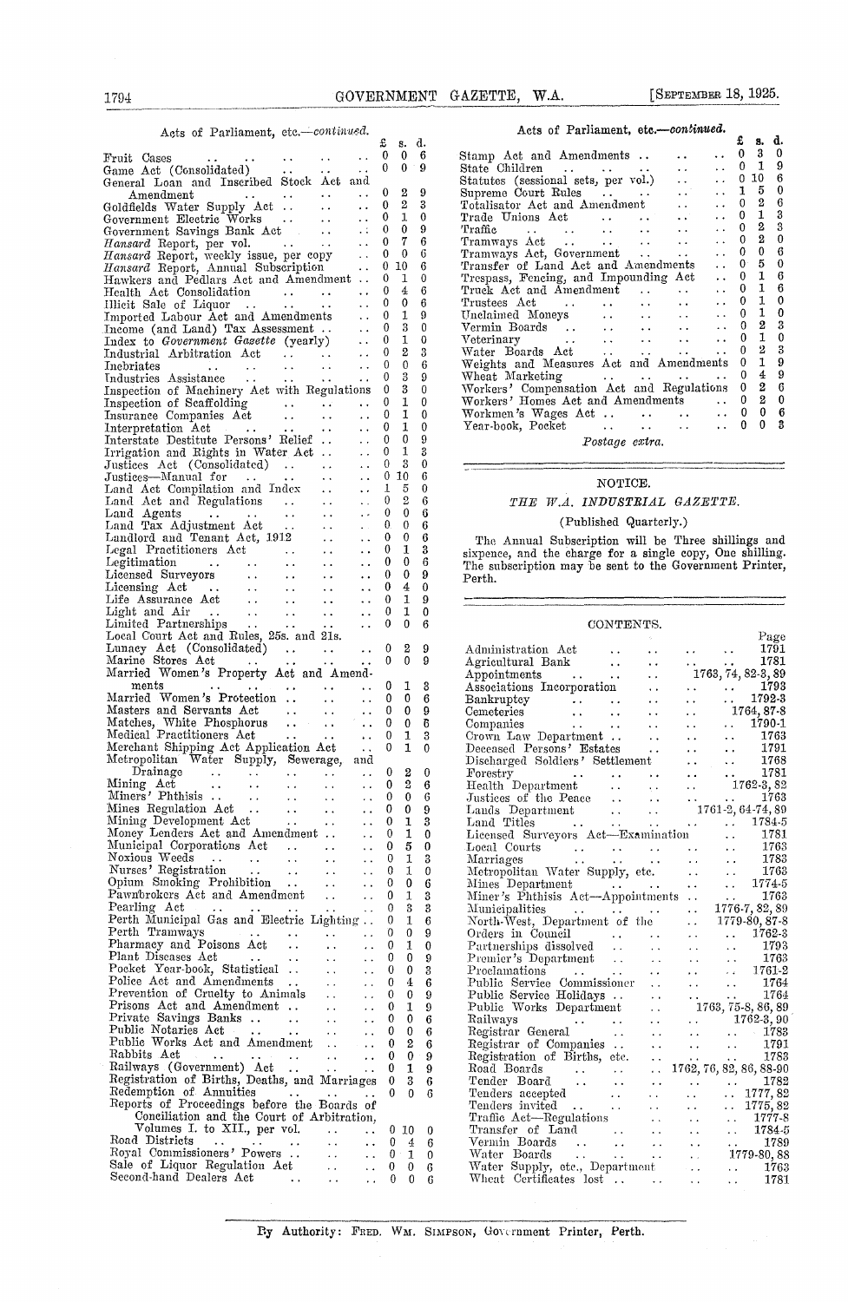|  |  |  | Acts of Parliament, etc.-continued. |
|--|--|--|-------------------------------------|
|--|--|--|-------------------------------------|

| 1794                                                                                                                                                                                                                                                                   |                                                                                          |                                                                  |                          | GOVERNMENT GAZETTE, W.A.                                                                                                                                                                                                                                               |                                                                                    | [SEPTEMBER 18, 1925.                                                                                 |
|------------------------------------------------------------------------------------------------------------------------------------------------------------------------------------------------------------------------------------------------------------------------|------------------------------------------------------------------------------------------|------------------------------------------------------------------|--------------------------|------------------------------------------------------------------------------------------------------------------------------------------------------------------------------------------------------------------------------------------------------------------------|------------------------------------------------------------------------------------|------------------------------------------------------------------------------------------------------|
| Acts of Parliament, etc.-continued.                                                                                                                                                                                                                                    |                                                                                          |                                                                  |                          | Acts of Parliament, etc.-continued.                                                                                                                                                                                                                                    |                                                                                    |                                                                                                      |
|                                                                                                                                                                                                                                                                        | $\sim 10^{-10}$<br>$\sim 100$                                                            | £<br>s. d.<br>$\mathbf{0}$<br>- 0                                | - 6                      | Stamp Act and Amendments                                                                                                                                                                                                                                               | $\sim$ $\sim$                                                                      | £<br>s. c<br>$\bf{0}$<br>3<br>$\bullet$ .                                                            |
| $Game$ Act (Consolidated) $\cdots$<br>$\mathbf{1}$ , and $\mathbf{1}$ , and $\mathbf{1}$<br>General Loan and Inscribed Stock Act and                                                                                                                                   |                                                                                          | $\theta$<br>$0 \quad 9$                                          |                          | State Children<br>Statutes (sessional sets, per vol.)<br>                                                                                                                                                                                                              |                                                                                    | $\bf{0}$<br>-1<br>$\ddot{\phantom{1}}$<br>10<br>$^{\circ}$<br>$\ddot{\phantom{a}}$                   |
| Amendment<br>$\sim 100$ km s $^{-1}$                                                                                                                                                                                                                                   | $\sim 10^{-1}$<br>$\sim 10^{-1}$                                                         | $\theta$                                                         | 9                        |                                                                                                                                                                                                                                                                        | $\ddotsc$                                                                          | 5<br>1<br>$\ddotsc$<br>$\boldsymbol{2}$                                                              |
| Goldfields Water Supply Act<br>Government Electric Works                                                                                                                                                                                                               | $\mathbf{r} \in \mathbb{R}^{d \times d}$<br>$\ddot{\phantom{a}}$ .<br>$\sim 10^{-1}$     | 2<br>$^{0}$<br>$\mathbf{0}$<br>1                                 | 3<br>$\bf{0}$            | Totalisator Act and Amendment<br>Trade Unions Act                                                                                                                                                                                                                      | $\ddot{\phantom{a}}$ .<br>$\ddotsc$                                                | $\theta$<br>$\ddotsc$<br>1<br>0<br>$\sim$ $\sim$                                                     |
| Government Savings Bank Act                                                                                                                                                                                                                                            | $\sim 10^{-1}$                                                                           | $\bf{0}$<br>$\mathbf{0}$                                         | 9                        | Traffic<br>$\sim 10^{-10}$ km $^{-1}$<br>and the state of                                                                                                                                                                                                              | <b>Contract Contract</b><br>$\sim$ $\sim$                                          | $\boldsymbol{2}$<br>$\mathbf 0$<br>$\ddot{\phantom{a}}$ .<br>$\boldsymbol{2}$<br>$\mathbf{0}$        |
| Hansard Report, per vol.<br>$\mathcal{L}^{\mathcal{L}}$ and $\mathcal{L}^{\mathcal{L}}$ and $\mathcal{L}^{\mathcal{L}}$ and $\mathcal{L}^{\mathcal{L}}$<br>Hansard Report, weekly issue, per copy                                                                      | $\sim 10^{-11}$<br>$\mathcal{L}^{\text{out}}$                                            | 7<br>$\mathbf{0}$<br>$^{0}$<br>0                                 | 6<br>6                   | Tramways Act<br><b>Contract Contract</b><br>Tramways Act, Government                                                                                                                                                                                                   | <b>Contract Contract</b><br>$\ddot{\phantom{0}}$<br>$\sim 0.1$ .<br>$\sim 10^{-1}$ | $\ddot{\phantom{0}}$<br>0<br>0<br>$\sim 10^{-11}$                                                    |
| Hansard Report, Annual Subscription                                                                                                                                                                                                                                    | $\sim 10^{-1}$                                                                           | 0<br>10                                                          | 6<br>0                   | Transfer of Land Act and Amendments                                                                                                                                                                                                                                    |                                                                                    | 5<br>$\mathbf{0}$<br>$\sim 10^{-10}$<br>$\theta$<br>1<br>$\ddot{\phantom{a}}$                        |
| Hawkers and Pedlars Act and Amendment<br>Health Act Consolidation<br>and the state of the state of                                                                                                                                                                     | $\ddot{\phantom{a}}$                                                                     | 1<br>$^{0}$<br>4<br>$\theta$                                     | 6                        | Trespass, Fencing, and Impounding Act<br>Truck Act and Amendment                                                                                                                                                                                                       | $\sim 10^7$                                                                        | 1<br>0<br>$\mathbf{r}$ , $\mathbf{r}$                                                                |
|                                                                                                                                                                                                                                                                        |                                                                                          | $^{\circ}$<br>1                                                  | 6<br>9                   | $\mathbf{a}(\mathbf{a})$ , and $\mathbf{a}(\mathbf{a})$ , and<br>Trustees Act<br>$\sim 100$<br>Unclaimed Moneys<br><b>Carlos Contractor</b>                                                                                                                            | $\ddotsc$<br>$\sim$ $\sim$                                                         | 1<br>$\mathbf 0$<br>$\ddot{\phantom{0}}$<br>1<br>0                                                   |
| Income (and Land) Tax Assessment                                                                                                                                                                                                                                       | $\ldots$ 0                                                                               | 3                                                                | $\mathbf{0}$             | Vermin Boards<br>$\mathcal{L}(\mathbf{z},\mathbf{z})$ , and $\mathcal{L}(\mathbf{z},\mathbf{z})$ , and                                                                                                                                                                 | $\ddot{\phantom{1}}$ .                                                             | $\boldsymbol{2}$<br>$\Omega$<br>$\sim$ $\sim$                                                        |
| Index to Government Gazette (yearly)<br>Industrial Arbitration Act<br>$\mathbf{1}$ , $\mathbf{1}$ , $\mathbf{1}$ , $\mathbf{1}$ , $\mathbf{1}$                                                                                                                         | $\mathcal{L}(\mathcal{L})$<br>$\ddotsc$                                                  | 1<br>0<br>2<br>$^{0}$                                            | $\mathbf 0$<br>3         | $\mathcal{L}_{\mathcal{A}}$ and $\mathcal{L}_{\mathcal{A}}$ and $\mathcal{L}_{\mathcal{A}}$ and $\mathcal{L}_{\mathcal{A}}$<br>Veterinary<br>Water Boards Act                                                                                                          | $\sim$ $\sim$<br>$\sim$ $\sim$                                                     | 1<br>$\bf{0}$<br>$\ddot{\phantom{a}}$<br>2<br>0<br>$\sim$ $\sim$                                     |
| Incoriates<br>$\mathbf{r} \in \mathbb{R}^{n \times n}$<br>and a series of the series                                                                                                                                                                                   | $\sim 1$<br>$\ddot{\phantom{a}}$                                                         | 0<br>$\Omega$                                                    | 6                        | Weights and Measures Act and Amendments                                                                                                                                                                                                                                |                                                                                    | 1<br>0                                                                                               |
| Industries Assistance<br>$\mathbf{u}$ , and $\mathbf{u}$ , and $\mathbf{u}$ , and $\mathbf{u}$<br>Inspection of Machinery Act with Regulations                                                                                                                         | $\ddotsc$                                                                                | 3<br>0<br>3<br>$\overline{0}$                                    | $\Omega$<br>$\theta$     | Wheat Marketing<br>Workers' Compensation Act and Regulations 0                                                                                                                                                                                                         | and a series of the series of the                                                  | $\bf{0}$<br>4<br>2                                                                                   |
| Inspection of Scaffolding                                                                                                                                                                                                                                              |                                                                                          | 1<br>0                                                           | $\theta$                 | Workers' Homes Act and Amendments                                                                                                                                                                                                                                      |                                                                                    | $^{2}$<br>$\mathbf{0}$                                                                               |
| $\mathbf{1}$ , $\mathbf{1}$<br>Insurance Companies Act<br>Interpretation Act<br>$\sim 100$ km s $^{-1}$<br>$\sim 10^{-11}$                                                                                                                                             | $\mathbf{r}$ , $\mathbf{r}$<br>$\sim 10^{-1}$<br>$\sim 10^{-10}$<br>$\ddot{\phantom{0}}$ | 1<br>$\bf{0}$<br>1<br>$^{0}$                                     | $\bf{0}$<br>$\mathbf{0}$ | Workmen's Wages Act<br>Year-book, Pocket<br><b>Contractor</b>                                                                                                                                                                                                          | $\sim 10^{-10}$<br>$\ddotsc$                                                       | 0<br>0<br>$\sim 10^{-10}$<br>$\bf{0}$<br>$\Omega$<br>$\sim$ $\sim$                                   |
| Interstate Destitute Persons' Relief                                                                                                                                                                                                                                   | $\sim 10^{-1}$                                                                           | $\mathbf 0$<br>0                                                 | 9                        | Postage extra.                                                                                                                                                                                                                                                         |                                                                                    |                                                                                                      |
| Irrigation and Rights in Water Act<br>Justices Act (Consolidated)                                                                                                                                                                                                      | $\ddot{\phantom{0}}$<br>$\sim 10^{-1}$<br>$\ddot{\phantom{a}}$                           | 1<br>0<br>3<br>0                                                 | 3<br>$\mathbf 0$         |                                                                                                                                                                                                                                                                        |                                                                                    |                                                                                                      |
| Justices—Manual for<br>$\sim 10^{11}$ and $\sim 10^{11}$<br>$\sim 10^{-10}$                                                                                                                                                                                            | $\sim 10^{-1}$<br>$\ddot{\phantom{0}}$                                                   | 0<br>10                                                          | 6                        | NOTICE.                                                                                                                                                                                                                                                                |                                                                                    |                                                                                                      |
| Land Act Compilation and Index<br>Land Act and Regulations                                                                                                                                                                                                             | $\ddot{\phantom{0}}$<br>$\sim$ $\sim$                                                    | 5<br>T<br>$\boldsymbol{2}$<br>0                                  | 0<br>6                   | THE W.A. INDUSTRIAL GAZETTE.                                                                                                                                                                                                                                           |                                                                                    |                                                                                                      |
| Land Agents<br>and a series of the series<br>$\sim$ $\sim$                                                                                                                                                                                                             | $\sim 10^{-10}$<br>$\ddot{\phantom{0}}$                                                  | $\mathbf 0$<br>0                                                 | $6\phantom{1}6$          |                                                                                                                                                                                                                                                                        |                                                                                    |                                                                                                      |
| Land Tax Adjustment Act<br>Landlord and Tenant Act, 1912.                                                                                                                                                                                                              | $\sim 10^{-1}$<br>$\mathbf{r} \in \mathbb{R}^n$<br>$\ddot{\phantom{a}}$                  | $\mathbf{0}$<br>0.<br>$\mathbf{0}$<br>0                          | 6<br>6                   | (Published Quarterly.)                                                                                                                                                                                                                                                 |                                                                                    |                                                                                                      |
| Legal Practitioners Act                                                                                                                                                                                                                                                | $\sim$ $\sim$<br>$\ddot{\phantom{a}}$ .                                                  | $\mathbf{1}$<br>$\theta$                                         | 3                        | The Annual Subscription will be Three shillings an<br>sixpence, and the charge for a single copy, One shilling                                                                                                                                                         |                                                                                    |                                                                                                      |
| Legitimation<br>$\alpha$ , and $\alpha$ , and $\alpha$ , and $\alpha$<br>$\sim 10^{11}$ m $^{-1}$<br>Licensed Surveyors                                                                                                                                                | $\ddot{\phantom{1}}$<br>$\ddot{\phantom{a}}$                                             | 0<br>$\theta$<br>0<br>$^{0}$                                     | 6<br>9                   | The subscription may be sent to the Government Printe                                                                                                                                                                                                                  |                                                                                    |                                                                                                      |
|                                                                                                                                                                                                                                                                        | $\sim$ $\sim$                                                                            | 4<br>$\mathbf{0}$                                                | $\mathbf{0}$             | Perth.                                                                                                                                                                                                                                                                 |                                                                                    |                                                                                                      |
|                                                                                                                                                                                                                                                                        | $\sim 10^{-1}$<br>$\sim 10^{-1}$                                                         | $\mathbf{1}$<br>$\mathbf{0}$<br>$\mathbf{1}$<br>$\mathbf{0}$     | 9<br>$\mathbf{0}$        |                                                                                                                                                                                                                                                                        |                                                                                    |                                                                                                      |
| Licensing Act<br>Licensing Act<br>Life Assurance Act<br>Light and Air<br>Limited Partnerships<br>$\begin{array}{ccc}\n\cdot & \cdot & \cdot & \cdot \\ \cdot & \cdot & \cdot & \cdot \\ \downarrow & \downarrow & \cdot & \cdot\n\end{array}$                          | $\sim 10^{-1}$                                                                           | $\mathbf{0}$<br>0                                                | 6                        | CONTENTS.                                                                                                                                                                                                                                                              |                                                                                    |                                                                                                      |
| Local Court Act and Rules, 25s. and 21s.<br>Lunacy Act (Consolidated)                                                                                                                                                                                                  | $\sim 10^{-1}$                                                                           | $\boldsymbol{2}$<br>$\mathbf{0}$                                 | 9                        |                                                                                                                                                                                                                                                                        |                                                                                    | Pag<br>179<br>$\mathbf{u}(\mathbf{z})$ , and $\mathbf{u}(\mathbf{z})$ , and $\mathbf{u}(\mathbf{z})$ |
| Marine Stores Act                                                                                                                                                                                                                                                      | $\ddotsc$                                                                                | $\mathbf{0}$<br>$\mathbf{0}$                                     | 9                        | Administration Act<br>Agricultural Bank<br>Appointments<br>Associations Incorporation<br>Bankruptcy<br>Cemeteries<br>Companies<br>Crown Law Department<br>Deceased Persons' Estates<br>Disclausing Soldiers' Settlement<br>Disclausing Soldiers' S                     |                                                                                    | $\ldots$ $\ldots$ 178                                                                                |
| Married Women's Property Act and Amend-<br>ments                                                                                                                                                                                                                       | $\ddot{\phantom{0}}$                                                                     | 0<br>1                                                           | 3                        |                                                                                                                                                                                                                                                                        | $\sim$ $\sim$                                                                      | $1763, 74, 82-3, 8$<br>$\ldots$ 179                                                                  |
| Married Women's Protection                                                                                                                                                                                                                                             | $\sim$                                                                                   | $\mathbf 0$<br>0                                                 | -6                       |                                                                                                                                                                                                                                                                        | $\ddot{\phantom{1}}$ .                                                             | 1792<br>$\sim 10^{-1}$                                                                               |
| Masters and Servants Act<br>Matches, White Phosphorus                                                                                                                                                                                                                  | $\sim 10^{-10}$<br>$\mathcal{L}_{\text{max}}$                                            | $\mathbf 0$<br>$\mathbf 0$<br>$\bf{0}$<br>$\bf{0}$               | 9<br>$\overline{6}$      |                                                                                                                                                                                                                                                                        | $\sim 10^{-1}$                                                                     | 1764, 87<br>1790<br>$\mathbf{r}(\mathbf{r})$ and<br>$\mathcal{L}(\mathbf{x})$ .                      |
| Medical Practitioners Act                                                                                                                                                                                                                                              | $\sim$ $\sim$                                                                            | $\mathbf{0}$<br>1                                                | 3                        |                                                                                                                                                                                                                                                                        |                                                                                    | -176<br>and the state of                                                                             |
| Merchant Shipping Act Application Act<br>Metropolitan Water Supply, Sewerage, and                                                                                                                                                                                      | $\sim 100$ km s $^{-1}$                                                                  | 0<br>1                                                           | $\mathbf{0}$             |                                                                                                                                                                                                                                                                        |                                                                                    | 179<br><b>Alan Alan Adam</b>                                                                         |
| Drainage $\ldots$ $\ldots$ $\ldots$                                                                                                                                                                                                                                    | $\mathcal{L}(\mathbf{r})$                                                                | $^{\circ}$ 2<br>$\bf{0}$                                         | $\mathbf{0}$             |                                                                                                                                                                                                                                                                        |                                                                                    |                                                                                                      |
|                                                                                                                                                                                                                                                                        | $\sim 10$                                                                                | $\boldsymbol{2}$<br>$\mathbf{0}$<br>$\mathbf{0}$<br>$\mathbf{0}$ | 6<br>6                   |                                                                                                                                                                                                                                                                        |                                                                                    |                                                                                                      |
|                                                                                                                                                                                                                                                                        | $\sim 100$                                                                               | $\mathbf{0}$<br>$\bf{0}$                                         | 9                        | Discharged Soldiers' Settlement<br>Forestry<br>Health Department<br>Tradit Department<br>Tradit Department<br>Lands Department<br>Land Titles<br>Contains and Tradition of the Press of the Peace<br>Cand Titles<br>Contains and Tradition of th                       |                                                                                    |                                                                                                      |
| Money Lenders Act and Amendment                                                                                                                                                                                                                                        | $\sim 100$ km s $^{-1}$                                                                  | 0<br>1<br>$\theta$<br>1                                          | 3<br>$\Omega$            | Licensed Surveyors Act-Examination  178                                                                                                                                                                                                                                |                                                                                    |                                                                                                      |
| Municipal Corporations Act                                                                                                                                                                                                                                             | $\sim 10^{-11}$                                                                          | $\mathbf{0}$<br>5                                                | 0                        |                                                                                                                                                                                                                                                                        |                                                                                    | 17(                                                                                                  |
|                                                                                                                                                                                                                                                                        |                                                                                          | $\mathbf{1}$<br>$\mathbf{0}$<br>$\theta$<br>1                    | 3<br>$\bf{0}$            | Local Courts<br>Marriages<br>Metropolitan Water Supply, etc.<br>Mines Department<br>Mines Department                                                                                                                                                                   |                                                                                    | 178<br>17 <sub>0</sub>                                                                               |
|                                                                                                                                                                                                                                                                        |                                                                                          |                                                                  | 6                        |                                                                                                                                                                                                                                                                        |                                                                                    |                                                                                                      |
|                                                                                                                                                                                                                                                                        |                                                                                          | $\mathbf{0}$<br>$\bf{0}$                                         |                          |                                                                                                                                                                                                                                                                        |                                                                                    | 1774                                                                                                 |
|                                                                                                                                                                                                                                                                        |                                                                                          | $\bf{0}$<br>1<br>3<br>0                                          | 3<br>3                   | Miner's Phthisis Act-Appointments                                                                                                                                                                                                                                      |                                                                                    | -170                                                                                                 |
| Noxious Week<br>Nurses' Registration<br>Opium Smoking Prohibition<br>Opium Smoking Prohibition<br>Pawnbrokers Act and Amendment<br>Pearling Act  There is a Floring Lighting<br>Theory Musical Graphs Floring Lighting<br>Perth Municipal Gas and Electric Lighting  0 |                                                                                          | 1                                                                | 6                        |                                                                                                                                                                                                                                                                        |                                                                                    | $1776-7, 82, 8$<br>1779-80, 87                                                                       |
|                                                                                                                                                                                                                                                                        |                                                                                          | $\theta$<br>1                                                    | 9<br>$\theta$            |                                                                                                                                                                                                                                                                        |                                                                                    | 1762                                                                                                 |
| Plant Diseases Act<br>التواريع والمعاري ووارد                                                                                                                                                                                                                          |                                                                                          | $\mathbf{0}$<br>$\mathbf 0$                                      | 9                        |                                                                                                                                                                                                                                                                        |                                                                                    | -179<br>$\mathcal{L}_{\text{max}}$ and $\mathcal{L}_{\text{max}}$<br>$-17$                           |
|                                                                                                                                                                                                                                                                        | $\sim 100$                                                                               | $\theta$<br>$\bf{0}$<br>$\mathbf{0}$<br>4                        | 3                        | Municipalities<br>Municipalities<br>North-West, Department of the<br>Orders in Council<br>Partnerships dissolved<br>Premier's Department<br>Premier's Department<br>Alternative Construction<br>Premier's Department<br>Construction<br>Constructi                     |                                                                                    |                                                                                                      |
| Prevention of Cruelty to Animals                                                                                                                                                                                                                                       | $\sim 10^{-1}$<br>$\sim 10^{-1}$                                                         | $\bf{0}$<br>$\theta$                                             | 6<br>9                   | Public Service Commissioner                                                                                                                                                                                                                                            |                                                                                    | $\ldots$ 170<br>$-17$                                                                                |
| Prisons Act and Amendment                                                                                                                                                                                                                                              |                                                                                          | $\mathbf{1}$<br>$\theta$<br>$\bf{0}$<br>$\mathbf{0}$             | 9<br>6                   |                                                                                                                                                                                                                                                                        |                                                                                    |                                                                                                      |
|                                                                                                                                                                                                                                                                        |                                                                                          | $\theta$                                                         | 6                        |                                                                                                                                                                                                                                                                        |                                                                                    |                                                                                                      |
| Public Notaries Act<br>Public Works Act and Amendment 0                                                                                                                                                                                                                |                                                                                          | $\boldsymbol{2}$<br>$\mathbf{0}$                                 | 6<br>9                   |                                                                                                                                                                                                                                                                        |                                                                                    |                                                                                                      |
|                                                                                                                                                                                                                                                                        |                                                                                          |                                                                  | 9                        | Public Service Holidays<br>Public Works Department<br>Public Works Department<br>$1763, 75-8, 86,$<br>Railways<br>$\cdots$<br>$1762-3,$<br>Registrar General<br>$\cdots$<br>$1763-75-8, 86,$<br>Registrar of Companies<br>$\cdots$<br>$\cdots$<br>$177$<br>Registrar o |                                                                                    |                                                                                                      |
| Registration of Births, Deaths, and Marriages 0 3 6<br>Redemption of Annuities (1999). The Redemption of Annuities                                                                                                                                                     |                                                                                          |                                                                  | - 6                      | Road Boards<br>Tender Board<br>Contract Contract Contract Contract Contract Contract Contract Contract Contract Contract Contract Contract Contract Contract Contract Contract Contract Contract Contract Contract Contract Contra                                     |                                                                                    |                                                                                                      |
| Reports of Proceedings before the Boards of                                                                                                                                                                                                                            |                                                                                          |                                                                  |                          |                                                                                                                                                                                                                                                                        |                                                                                    |                                                                                                      |
| Conciliation and the Court of Arbitration,<br>Volumes I. to XII., per vol. 0 10 0                                                                                                                                                                                      |                                                                                          |                                                                  |                          |                                                                                                                                                                                                                                                                        |                                                                                    |                                                                                                      |
|                                                                                                                                                                                                                                                                        |                                                                                          |                                                                  |                          |                                                                                                                                                                                                                                                                        |                                                                                    |                                                                                                      |
| Road Districts 0 4 6<br>Royal Commissioners ? Powers 0 1 0<br>Sale of Liquor Regulation Act 0 0 6<br>Second-hand Dealers Act 0 0 6                                                                                                                                     |                                                                                          |                                                                  |                          | Tender Board<br>Tenders accepted<br>Tenders invited<br>Tenders invited<br>Traffic Act—Regulations<br>Traffic Act—Regulations<br>Transfer of Land<br>Vermin Boards<br>Vermin Boards<br>Contract Certificates Iost<br>Transfer Supply, etc., Departm                     |                                                                                    |                                                                                                      |

#### Acts of **Parliament,** *etc.—continued*

| Acts or Farmament, его.—соплитичесь.      |                                                                                               |       |                |                  |
|-------------------------------------------|-----------------------------------------------------------------------------------------------|-------|----------------|------------------|
|                                           |                                                                                               | £     | 8.             | d.               |
| Stamp Act and Amendments                  | $\ddot{\phantom{a}}$                                                                          | 0     | 3              | 0                |
| State Children                            | . .<br>$\mathbf{L}$                                                                           | 0.    | 1              | 9                |
| Statutes (sessional sets, per vol.)       | $\ddot{\phantom{a}}$<br>and the con-                                                          | 0     | 10             | 6                |
|                                           | $\sim 10^{-11}$                                                                               | 1     | 5.             | 0                |
| Totalisator Act and Amendment             | $\ddot{\phantom{a}}$                                                                          | 0     | 2              | 6                |
| Trade Unions Act                          | $\ddotsc$                                                                                     | 0     | 1              | 3                |
| $\text{Traffic}$                          | $\ddot{\phantom{0}}$<br>$\cdots$                                                              | 0.    | 2              | $\boldsymbol{3}$ |
|                                           | $\ddotsc$                                                                                     | 0     | 2              | 0                |
| Tramways Act, Government                  | $\ddot{\phantom{0}}$                                                                          | 0.    | 0              | 6                |
| Transfer of Land Act and Amendments       | $\ddotsc$                                                                                     | $0^-$ | 5              | 0                |
| Trespass, Fencing, and Impounding Act     | $\ddot{\phantom{0}}$                                                                          | 0     | 1              | 6                |
| Truck Act and Amendment                   | $\mathbf{L}$ , and $\mathbf{L}$<br>$\ddot{\phantom{a}}$                                       | 0     | 1              | 6                |
|                                           | . .<br>$\mathbf{a}$ , $\mathbf{a}$ , $\mathbf{a}$ , $\mathbf{a}$<br><b>Alberta Controller</b> | 0.    | $\mathbf{1}$   | 0                |
|                                           | $\sim$                                                                                        | 0.    | 1              | $\bf{0}$         |
|                                           | $\ddot{\phantom{a}}$<br><b>Alan Adam</b>                                                      | 0     | $\overline{2}$ | $\overline{3}$   |
| Veterinary                                | and the state of the<br>$\ddotsc$                                                             | 0     | 1              | 0                |
| Water Boards Act                          |                                                                                               | 0     | 2              | 3                |
| Weights and Measures Act and Amendments   |                                                                                               | 0     | 1              | 9                |
|                                           |                                                                                               | 0     | $\overline{4}$ | 9                |
| Workers' Compensation Act and Regulations |                                                                                               | 0     | 2              | 6                |
| Workers' Homes Act and Amendments         |                                                                                               | 0     | 2              | $\bf{0}$         |
| Workmen's Wages Act                       |                                                                                               | 0     | 0              | 6                |
| Year-book, Pocket                         | <b>Contract Contract Contract</b><br>$\ddot{\phantom{a}}$                                     | 0     | 0              | 3                |
|                                           |                                                                                               |       |                |                  |

#### NOTICE.

#### *THE W.A. INDUSTRIAL GAZETTE.*

#### (Published Quarterly.)

#### CONTENTS.

|                                                                                                             |                      |                            |                      |                      | Page                                                       |
|-------------------------------------------------------------------------------------------------------------|----------------------|----------------------------|----------------------|----------------------|------------------------------------------------------------|
| Administration Act                                                                                          |                      |                            |                      | $\ddotsc$            | 1791                                                       |
| Agricultural Bank                                                                                           | $\ddot{\phantom{a}}$ |                            |                      |                      | 1781                                                       |
| Appointments                                                                                                | $\ddotsc$            |                            |                      |                      | 1763, 74, 82-3, 89                                         |
| Associations Incorporation                                                                                  |                      | . .                        |                      |                      | 1793                                                       |
| Bankruptcy<br>$\mathcal{L}_{\text{max}}$ and $\mathcal{L}_{\text{max}}$                                     | $\ddot{\phantom{0}}$ |                            | . .                  | $\mathbf{A}$         | 1792-3                                                     |
| Cemeteries                                                                                                  | $\ddot{\phantom{a}}$ | $\ddot{\phantom{1}}$       | . .                  |                      | 1764, 87-8                                                 |
| $\frac{1}{2}$ , $\frac{1}{2}$ , $\frac{1}{2}$ , $\frac{1}{2}$<br>Companies                                  | ÷.                   |                            |                      |                      | $\ldots$ 1790-1                                            |
| Crown Law Department                                                                                        |                      | . .                        |                      |                      | $\frac{1}{1791}$                                           |
| Deceased Persons' Estates                                                                                   |                      | $\ddot{\phantom{a}}$       |                      |                      |                                                            |
| Discharged Soldiers' Settlement                                                                             |                      |                            |                      | $\ddotsc$            | 1768                                                       |
| Forestry<br>$\ddot{\phantom{1}}$                                                                            | $\ddot{\phantom{1}}$ | $\epsilon$ .               | $\ddotsc$            |                      | 1781                                                       |
| Health Department                                                                                           | $\ddots$             | $\ddotsc$                  | $\ddotsc$            |                      | $1762 - 3, 82$                                             |
| Justices of the Peace                                                                                       |                      |                            |                      |                      | $\ldots$ 1763                                              |
| Lands Department<br>$\mathcal{L}^{\text{max}}_{\text{max}}$ , where $\mathcal{L}^{\text{max}}_{\text{max}}$ |                      | $\mathcal{L}(\mathbf{r})$  |                      |                      | 1761-2, 64-74, 89                                          |
| Land Titles                                                                                                 | $\sim 100$           | $\ddotsc$                  |                      |                      | $\ldots$ 1784-5                                            |
| Licensed Surveyors Act-Examination                                                                          |                      |                            |                      | $\ddot{\phantom{a}}$ | 1781                                                       |
|                                                                                                             |                      |                            |                      |                      |                                                            |
| Local Courts<br>Marriages<br>Alexander Marriages                                                            |                      | $\sim 10^{-1}$             | $\ddot{\phantom{a}}$ | $\ddot{\phantom{a}}$ | $\begin{array}{c} 1763 \\ 1783 \end{array}$                |
| Metropolitan Water Supply, etc.                                                                             |                      |                            | $\ddot{\phantom{0}}$ | $\sim$               | 1763                                                       |
| Mines Department                                                                                            |                      |                            | . .                  | $\ddot{\phantom{a}}$ | 1774-5                                                     |
| Mines Department<br>Miner's Phthisis Act—Appointments                                                       |                      |                            | $\ddot{\phantom{0}}$ | $\ddotsc$            | 1763                                                       |
| Municipalities<br>$\sim 100$ km s $^{-1}$                                                                   |                      |                            | i.                   |                      | 1776-7, 82, 89                                             |
| North-West, Department of the                                                                               |                      |                            |                      |                      | 1779-80, 87-8                                              |
| Orders in Council                                                                                           |                      | and the state of the state | $\ddot{\phantom{0}}$ |                      | $\ldots$ 1762-3                                            |
| Partnerships dissolved                                                                                      |                      |                            | $\ddot{\phantom{0}}$ | $\ddotsc$            | 1793                                                       |
| Premier's Department                                                                                        |                      |                            | $\ddot{\phantom{0}}$ |                      | 1763                                                       |
| Proclamations                                                                                               | $\sim$ $\sim$        |                            | $\cdots$             |                      | $\frac{1763}{1761}$                                        |
| Public Service Commissioner                                                                                 |                      |                            | <b>College</b>       |                      | $\ldots$ 1764                                              |
| Public Service Holidays                                                                                     |                      |                            |                      | $\ddotsc$            | 1764                                                       |
| Public Works Department                                                                                     |                      | . .                        |                      |                      | 1763, 75-8, 86, 89                                         |
| Railways                                                                                                    |                      |                            |                      |                      | $\ldots$ 1762-3, 90                                        |
|                                                                                                             | $\sim 10^{-1}$       |                            | $\ddotsc$            |                      | $\ldots$ 1783                                              |
| Registrar of Companies                                                                                      |                      |                            | $\ddotsc$            |                      | $\ldots$ 1791                                              |
| Registration of Births, etc.                                                                                |                      | $\ddot{\phantom{0}}$       | $\ddot{\phantom{1}}$ |                      | 1783<br>$\mathcal{L}(\mathcal{L})$ .                       |
| Road Boards                                                                                                 | $\sim 10^{-1}$       | $\ddot{\phantom{a}}$       |                      |                      | 1762, 76, 82, 86, 88-90                                    |
| $\mathcal{L}(\mathcal{A})$ and $\mathcal{L}(\mathcal{A})$<br>Tender Board                                   |                      | $\ddot{\phantom{0}}$       |                      |                      | 1782                                                       |
| Tenders accepted<br>Tenders invited                                                                         |                      |                            |                      |                      |                                                            |
|                                                                                                             |                      | $\ddotsc$                  |                      |                      | $\begin{array}{cc} & 1777, 82 \\ . & 1775, 82 \end{array}$ |
| Traffic Act—Regulations                                                                                     |                      |                            | $\ddotsc$            |                      | $\ldots$ 1777-8                                            |
|                                                                                                             |                      |                            | $\cdots$             |                      | $\therefore$ 1784-5                                        |
| Transfer of Land<br>Vermin Boards<br>Vermin Boards                                                          | $\sim 10^{-1}$       | $\sim$ $\sim$              | $\ddotsc$            | $\ddot{\phantom{a}}$ | 1789                                                       |
|                                                                                                             |                      |                            |                      |                      | 1779-80, 88                                                |
| Water Boards<br>Water Supply, etc., Department                                                              |                      |                            |                      |                      |                                                            |
| Wheat Certificates lost.                                                                                    |                      | $\ddotsc$                  | $\ddotsc$            |                      | $\begin{array}{cc} \dots & 1763 \\ 1781 \end{array}$       |
|                                                                                                             |                      |                            |                      |                      |                                                            |

Ry Authority: FRED. WM. SIMPSON, Government Printer, Perth.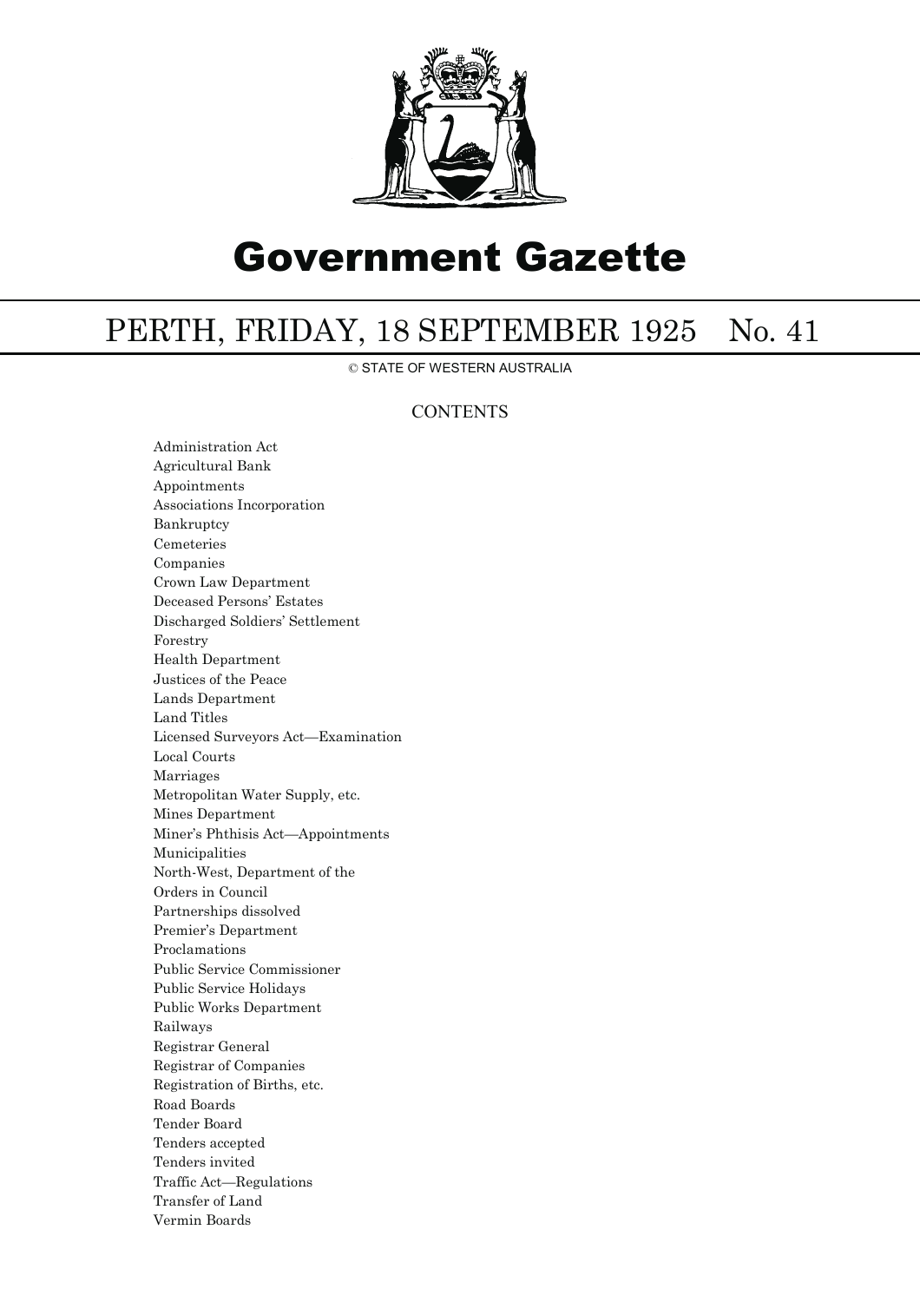

# Government Gazette

## PERTH, FRIDAY, 18 SEPTEMBER 1925 No. 41

© STATE OF WESTERN AUSTRALIA

### **CONTENTS**

Administration Act Agricultural Bank Appointments Associations Incorporation Bankruptcy Cemeteries Companies Crown Law Department Deceased Persons' Estates Discharged Soldiers' Settlement Forestry Health Department Justices of the Peace Lands Department Land Titles Licensed Surveyors Act—Examination Local Courts Marriages Metropolitan Water Supply, etc. Mines Department Miner's Phthisis Act—Appointments Municipalities North-West, Department of the Orders in Council Partnerships dissolved Premier's Department Proclamations Public Service Commissioner Public Service Holidays Public Works Department Railways Registrar General Registrar of Companies Registration of Births, etc. Road Boards Tender Board Tenders accepted Tenders invited Traffic Act—Regulations Transfer of Land Vermin Boards